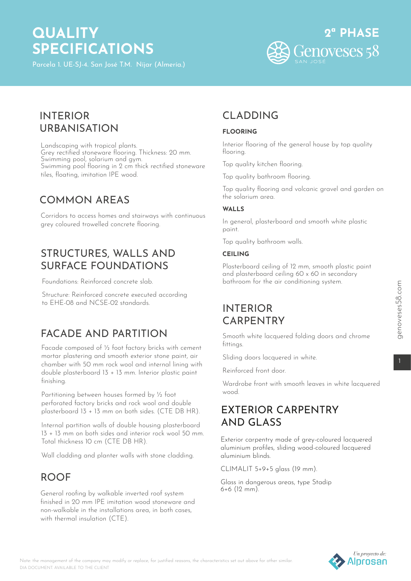# **QUALITY SPECIFICATIONS**



### INTERIOR URBANISATION

Landscaping with tropical plants. Grey rectified stoneware flooring. Thickness: 20 mm. Swimming pool, solarium and gym. Swimming pool flooring in 2 cm thick rectified stoneware tiles, floating, imitation IPE wood.

### COMMON AREAS

Corridors to access homes and stairways with continuous grey coloured trowelled concrete flooring.

### STRUCTURES, WALLS AND SURFACE FOUNDATIONS

Foundations: Reinforced concrete slab.

Structure: Reinforced concrete executed according to EHE-08 and NCSE-02 standards.

# FACADE AND PARTITION

Facade composed of ½ foot factory bricks with cement mortar plastering and smooth exterior stone paint, air chamber with 50 mm rock wool and internal lining with double plasterboard 13 + 13 mm. Interior plastic paint finishing.

Partitioning between houses formed by ½ foot perforated factory bricks and rock wool and double plasterboard 13 + 13 mm on both sides. (CTE DB HR).

Internal partition walls of double housing plasterboard 13 + 13 mm on both sides and interior rock wool 50 mm. Total thickness 10 cm (CTE DB HR).

Wall cladding and planter walls with stone cladding.

# ROOF

General roofing by walkable inverted roof system finished in 20 mm IPE imitation wood stoneware and non-walkable in the installations area, in both cases, with thermal insulation (CTF).

# CLADDING

#### **FLOORING**

Interior flooring of the general house by top quality flooring.

Top quality kitchen flooring.

Top quality bathroom flooring.

Top quality flooring and volcanic gravel and garden on the solarium area.

#### WALLS

In general, plasterboard and smooth white plastic paint.

Top quality bathroom walls.

#### **CEILING**

Plasterboard ceiling of 12 mm, smooth plastic paint and plasterboard ceiling 60 x 60 in secondary bathroom for the air conditioning system.

# INTERIOR CARPENTRY

Smooth white lacquered folding doors and chrome fittings.

Sliding doors lacquered in white.

Reinforced front door.

Wardrobe front with smooth leaves in white lacquered wood.

### EXTERIOR CARPENTRY AND GLASS

Exterior carpentry made of grey-coloured lacquered aluminium profiles, sliding wood-coloured lacquered aluminium blinds.

CLIMALIT 5+9+5 glass (19 mm).

Glass in dangerous areas, type Stadip 6+6 (12 mm).